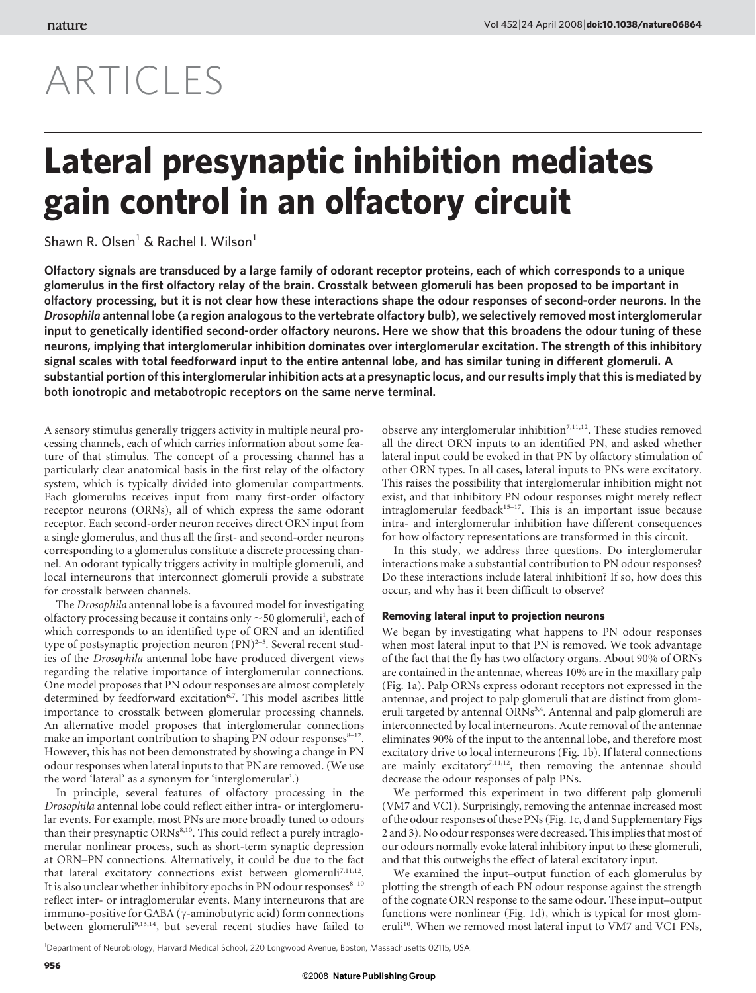# ARTICLES

## Lateral presynaptic inhibition mediates gain control in an olfactory circuit

### Shawn R. Olsen $<sup>1</sup>$  & Rachel I. Wilson $<sup>1</sup>$ </sup></sup>

Olfactory signals are transduced by a large family of odorant receptor proteins, each of which corresponds to a unique glomerulus in the first olfactory relay of the brain. Crosstalk between glomeruli has been proposed to be important in olfactory processing, but it is not clear how these interactions shape the odour responses of second-order neurons. In the Drosophila antennal lobe (a region analogous to the vertebrate olfactory bulb), we selectively removed most interglomerular input to genetically identified second-order olfactory neurons. Here we show that this broadens the odour tuning of these neurons, implying that interglomerular inhibition dominates over interglomerular excitation. The strength of this inhibitory signal scales with total feedforward input to the entire antennal lobe, and has similar tuning in different glomeruli. A substantial portion of this interglomerular inhibition acts at a presynaptic locus, and our results imply that this is mediated by both ionotropic and metabotropic receptors on the same nerve terminal.

A sensory stimulus generally triggers activity in multiple neural processing channels, each of which carries information about some feature of that stimulus. The concept of a processing channel has a particularly clear anatomical basis in the first relay of the olfactory system, which is typically divided into glomerular compartments. Each glomerulus receives input from many first-order olfactory receptor neurons (ORNs), all of which express the same odorant receptor. Each second-order neuron receives direct ORN input from a single glomerulus, and thus all the first- and second-order neurons corresponding to a glomerulus constitute a discrete processing channel. An odorant typically triggers activity in multiple glomeruli, and local interneurons that interconnect glomeruli provide a substrate for crosstalk between channels.

The Drosophila antennal lobe is a favoured model for investigating olfactory processing because it contains only  $\sim$  50 glomeruli<sup>1</sup>, each of which corresponds to an identified type of ORN and an identified type of postsynaptic projection neuron  $(PN)^{2-5}$ . Several recent studies of the Drosophila antennal lobe have produced divergent views regarding the relative importance of interglomerular connections. One model proposes that PN odour responses are almost completely determined by feedforward excitation<sup>6,7</sup>. This model ascribes little importance to crosstalk between glomerular processing channels. An alternative model proposes that interglomerular connections make an important contribution to shaping PN odour responses $8-12$ . However, this has not been demonstrated by showing a change in PN odour responses when lateral inputs to that PN are removed. (We use the word 'lateral' as a synonym for 'interglomerular'.)

In principle, several features of olfactory processing in the Drosophila antennal lobe could reflect either intra- or interglomerular events. For example, most PNs are more broadly tuned to odours than their presynaptic ORNs<sup>8,10</sup>. This could reflect a purely intraglomerular nonlinear process, such as short-term synaptic depression at ORN–PN connections. Alternatively, it could be due to the fact that lateral excitatory connections exist between glomeruli<sup>7,11,12</sup>. It is also unclear whether inhibitory epochs in PN odour responses  $8-10$ reflect inter- or intraglomerular events. Many interneurons that are immuno-positive for GABA ( $\gamma$ -aminobutyric acid) form connections between glomeruli<sup>9,13,14</sup>, but several recent studies have failed to observe any interglomerular inhibition<sup> $7,11,12$ </sup>. These studies removed all the direct ORN inputs to an identified PN, and asked whether lateral input could be evoked in that PN by olfactory stimulation of other ORN types. In all cases, lateral inputs to PNs were excitatory. This raises the possibility that interglomerular inhibition might not exist, and that inhibitory PN odour responses might merely reflect intraglomerular feedback<sup>15–17</sup>. This is an important issue because intra- and interglomerular inhibition have different consequences for how olfactory representations are transformed in this circuit.

In this study, we address three questions. Do interglomerular interactions make a substantial contribution to PN odour responses? Do these interactions include lateral inhibition? If so, how does this occur, and why has it been difficult to observe?

#### Removing lateral input to projection neurons

We began by investigating what happens to PN odour responses when most lateral input to that PN is removed. We took advantage of the fact that the fly has two olfactory organs. About 90% of ORNs are contained in the antennae, whereas 10% are in the maxillary palp (Fig. 1a). Palp ORNs express odorant receptors not expressed in the antennae, and project to palp glomeruli that are distinct from glomeruli targeted by antennal ORNs<sup>3,4</sup>. Antennal and palp glomeruli are interconnected by local interneurons. Acute removal of the antennae eliminates 90% of the input to the antennal lobe, and therefore most excitatory drive to local interneurons (Fig. 1b). If lateral connections are mainly excitatory<sup>7,11,12</sup>, then removing the antennae should decrease the odour responses of palp PNs.

We performed this experiment in two different palp glomeruli (VM7 and VC1). Surprisingly, removing the antennae increased most of the odour responses of these PNs (Fig. 1c, d and Supplementary Figs 2 and 3). No odour responses were decreased. This implies that most of our odours normally evoke lateral inhibitory input to these glomeruli, and that this outweighs the effect of lateral excitatory input.

We examined the input–output function of each glomerulus by plotting the strength of each PN odour response against the strength of the cognate ORN response to the same odour. These input–output functions were nonlinear (Fig. 1d), which is typical for most glomeruli<sup>10</sup>. When we removed most lateral input to VM7 and VC1 PNs,

```
1
Department of Neurobiology, Harvard Medical School, 220 Longwood Avenue, Boston, Massachusetts 02115, USA.
```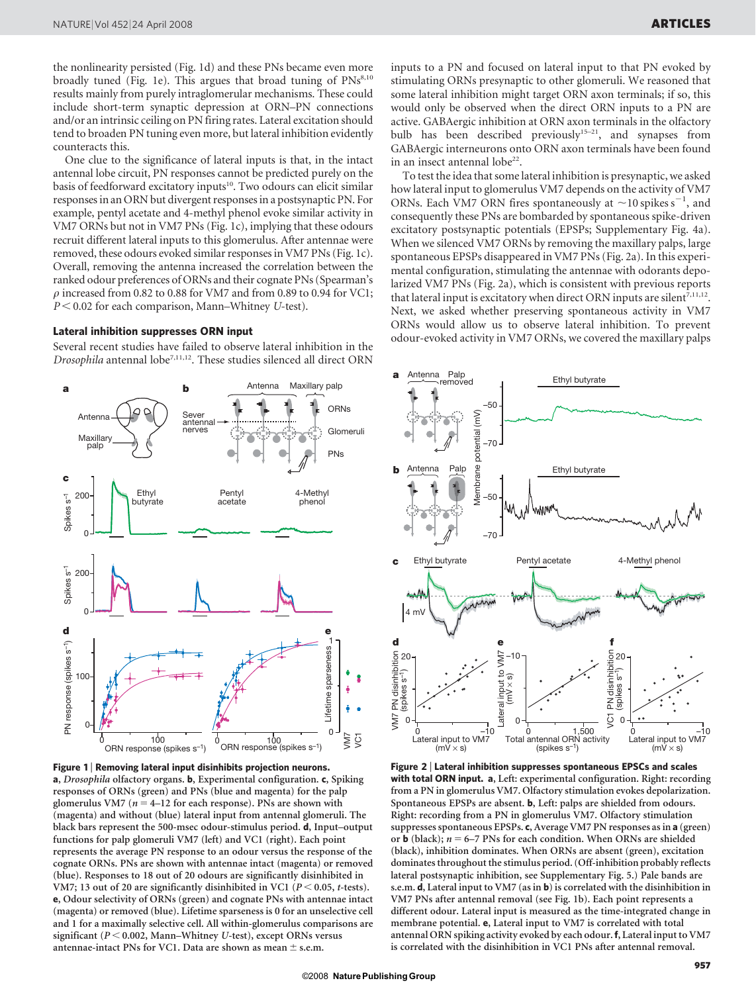the nonlinearity persisted (Fig. 1d) and these PNs became even more broadly tuned (Fig. 1e). This argues that broad tuning of  $PNs^{8,10}$ results mainly from purely intraglomerular mechanisms. These could include short-term synaptic depression at ORN–PN connections and/or an intrinsic ceiling on PN firing rates. Lateral excitation should tend to broaden PN tuning even more, but lateral inhibition evidently counteracts this.

One clue to the significance of lateral inputs is that, in the intact antennal lobe circuit, PN responses cannot be predicted purely on the basis of feedforward excitatory inputs<sup>10</sup>. Two odours can elicit similar responses in an ORN but divergent responses in a postsynaptic PN. For example, pentyl acetate and 4-methyl phenol evoke similar activity in VM7 ORNs but not in VM7 PNs (Fig. 1c), implying that these odours recruit different lateral inputs to this glomerulus. After antennae were removed, these odours evoked similar responses in VM7 PNs (Fig. 1c). Overall, removing the antenna increased the correlation between the ranked odour preferences of ORNs and their cognate PNs (Spearman's  $\rho$  increased from 0.82 to 0.88 for VM7 and from 0.89 to 0.94 for VC1;  $P < 0.02$  for each comparison, Mann–Whitney U-test).

#### Lateral inhibition suppresses ORN input

Several recent studies have failed to observe lateral inhibition in the Drosophila antennal lobe<sup>7,11,12</sup>. These studies silenced all direct ORN





inputs to a PN and focused on lateral input to that PN evoked by stimulating ORNs presynaptic to other glomeruli. We reasoned that some lateral inhibition might target ORN axon terminals; if so, this would only be observed when the direct ORN inputs to a PN are active. GABAergic inhibition at ORN axon terminals in the olfactory bulb has been described previously<sup>15-21</sup>, and synapses from GABAergic interneurons onto ORN axon terminals have been found in an insect antennal lobe<sup>22</sup>.

To test the idea that some lateral inhibition is presynaptic, we asked how lateral input to glomerulus VM7 depends on the activity of VM7 ORNs. Each VM7 ORN fires spontaneously at  $\sim$  10 spikes s<sup>-1</sup>, and consequently these PNs are bombarded by spontaneous spike-driven excitatory postsynaptic potentials (EPSPs; Supplementary Fig. 4a). When we silenced VM7 ORNs by removing the maxillary palps, large spontaneous EPSPs disappeared in VM7 PNs (Fig. 2a). In this experimental configuration, stimulating the antennae with odorants depolarized VM7 PNs (Fig. 2a), which is consistent with previous reports that lateral input is excitatory when direct ORN inputs are silent<sup>7,11,12</sup>. Next, we asked whether preserving spontaneous activity in VM7 ORNs would allow us to observe lateral inhibition. To prevent odour-evoked activity in VM7 ORNs, we covered the maxillary palps



Figure 2 <sup>|</sup> Lateral inhibition suppresses spontaneous EPSCs and scales with total ORN input. a, Left: experimental configuration. Right: recording from a PN in glomerulus VM7. Olfactory stimulation evokes depolarization. Spontaneous EPSPs are absent. b, Left: palps are shielded from odours. Right: recording from a PN in glomerulus VM7. Olfactory stimulation suppresses spontaneous EPSPs. c, Average VM7 PN responses as in a (green) or **b** (black);  $n = 6-7$  PNs for each condition. When ORNs are shielded (black), inhibition dominates. When ORNs are absent (green), excitation dominates throughout the stimulus period. (Off-inhibition probably reflects lateral postsynaptic inhibition, see Supplementary Fig. 5.) Pale bands are s.e.m. d, Lateral input to VM7 (as in b) is correlated with the disinhibition in VM7 PNs after antennal removal (see Fig. 1b). Each point represents a different odour. Lateral input is measured as the time-integrated change in membrane potential. e, Lateral input to VM7 is correlated with total antennal ORN spiking activity evoked by each odour.f, Lateral input to VM7 is correlated with the disinhibition in VC1 PNs after antennal removal.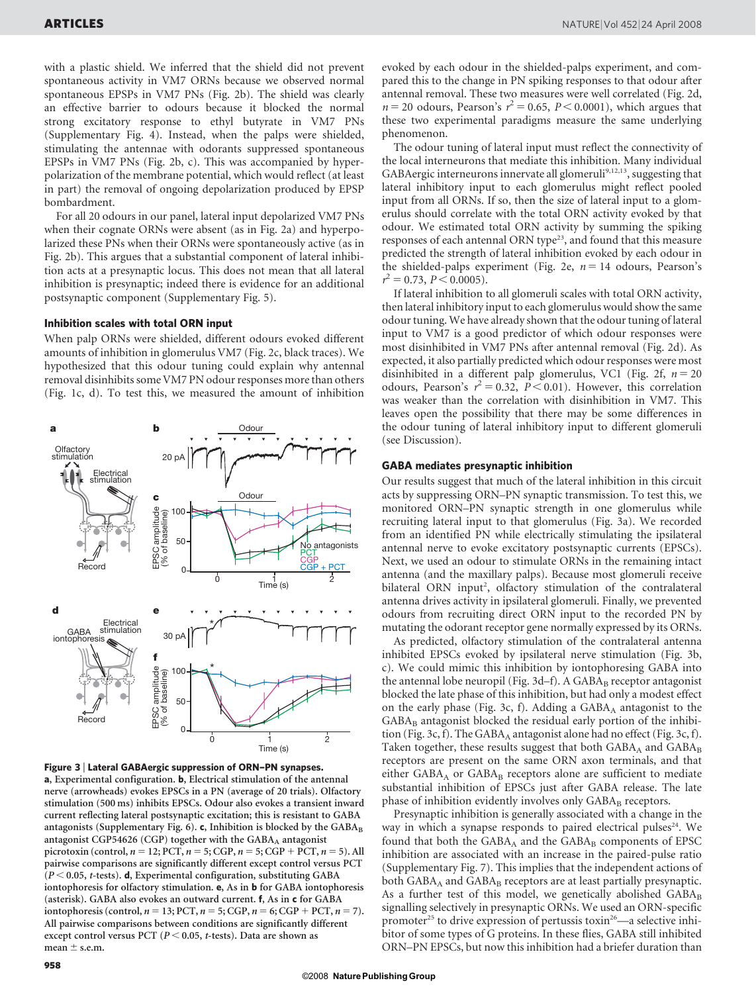with a plastic shield. We inferred that the shield did not prevent spontaneous activity in VM7 ORNs because we observed normal spontaneous EPSPs in VM7 PNs (Fig. 2b). The shield was clearly an effective barrier to odours because it blocked the normal strong excitatory response to ethyl butyrate in VM7 PNs (Supplementary Fig. 4). Instead, when the palps were shielded, stimulating the antennae with odorants suppressed spontaneous EPSPs in VM7 PNs (Fig. 2b, c). This was accompanied by hyperpolarization of the membrane potential, which would reflect (at least in part) the removal of ongoing depolarization produced by EPSP bombardment.

For all 20 odours in our panel, lateral input depolarized VM7 PNs when their cognate ORNs were absent (as in Fig. 2a) and hyperpolarized these PNs when their ORNs were spontaneously active (as in Fig. 2b). This argues that a substantial component of lateral inhibition acts at a presynaptic locus. This does not mean that all lateral inhibition is presynaptic; indeed there is evidence for an additional postsynaptic component (Supplementary Fig. 5).

#### Inhibition scales with total ORN input

When palp ORNs were shielded, different odours evoked different amounts of inhibition in glomerulus VM7 (Fig. 2c, black traces). We hypothesized that this odour tuning could explain why antennal removal disinhibits some VM7 PN odour responses more than others (Fig. 1c, d). To test this, we measured the amount of inhibition





a, Experimental configuration. b, Electrical stimulation of the antennal nerve (arrowheads) evokes EPSCs in a PN (average of 20 trials). Olfactory stimulation (500 ms) inhibits EPSCs. Odour also evokes a transient inward current reflecting lateral postsynaptic excitation; this is resistant to GABA antagonists (Supplementary Fig. 6). c, Inhibition is blocked by the  $GABA_B$ antagonist CGP54626 (CGP) together with the  $GABA_A$  antagonist picrotoxin (control,  $n = 12$ ; PCT,  $n = 5$ ; CGP,  $n = 5$ ; CGP + PCT,  $n = 5$ ). All pairwise comparisons are significantly different except control versus PCT  $(P < 0.05, t$ -tests). d, Experimental configuration, substituting GABA iontophoresis for olfactory stimulation. e, As in b for GABA iontophoresis (asterisk). GABA also evokes an outward current. f, As in c for GABA iontophoresis (control,  $n = 13$ ; PCT,  $n = 5$ ; CGP,  $n = 6$ ; CGP + PCT,  $n = 7$ ). All pairwise comparisons between conditions are significantly different except control versus PCT ( $P < 0.05$ , t-tests). Data are shown as mean  $\pm$  s.e.m.

evoked by each odour in the shielded-palps experiment, and compared this to the change in PN spiking responses to that odour after antennal removal. These two measures were well correlated (Fig. 2d,  $n = 20$  odours, Pearson's  $r^2 = 0.65$ ,  $P < 0.0001$ ), which argues that these two experimental paradigms measure the same underlying phenomenon.

The odour tuning of lateral input must reflect the connectivity of the local interneurons that mediate this inhibition. Many individual GABAergic interneurons innervate all glomeruli<sup>9,12,13</sup>, suggesting that lateral inhibitory input to each glomerulus might reflect pooled input from all ORNs. If so, then the size of lateral input to a glomerulus should correlate with the total ORN activity evoked by that odour. We estimated total ORN activity by summing the spiking responses of each antennal ORN type<sup>23</sup>, and found that this measure predicted the strength of lateral inhibition evoked by each odour in the shielded-palps experiment (Fig. 2e,  $n = 14$  odours, Pearson's  $r^2 = 0.73$ ,  $P < 0.0005$ ).

If lateral inhibition to all glomeruli scales with total ORN activity, then lateral inhibitory input to each glomerulus would show the same odour tuning. We have already shown that the odour tuning of lateral input to VM7 is a good predictor of which odour responses were most disinhibited in VM7 PNs after antennal removal (Fig. 2d). As expected, it also partially predicted which odour responses were most disinhibited in a different palp glomerulus, VC1 (Fig. 2f,  $n = 20$ odours, Pearson's  $r^2 = 0.32$ ,  $P < 0.01$ ). However, this correlation was weaker than the correlation with disinhibition in VM7. This leaves open the possibility that there may be some differences in the odour tuning of lateral inhibitory input to different glomeruli (see Discussion).

#### GABA mediates presynaptic inhibition

Our results suggest that much of the lateral inhibition in this circuit acts by suppressing ORN–PN synaptic transmission. To test this, we monitored ORN–PN synaptic strength in one glomerulus while recruiting lateral input to that glomerulus (Fig. 3a). We recorded from an identified PN while electrically stimulating the ipsilateral antennal nerve to evoke excitatory postsynaptic currents (EPSCs). Next, we used an odour to stimulate ORNs in the remaining intact antenna (and the maxillary palps). Because most glomeruli receive bilateral ORN input<sup>2</sup>, olfactory stimulation of the contralateral antenna drives activity in ipsilateral glomeruli. Finally, we prevented odours from recruiting direct ORN input to the recorded PN by mutating the odorant receptor gene normally expressed by its ORNs.

As predicted, olfactory stimulation of the contralateral antenna inhibited EPSCs evoked by ipsilateral nerve stimulation (Fig. 3b, c). We could mimic this inhibition by iontophoresing GABA into the antennal lobe neuropil (Fig.  $3d-f$ ). A GABA<sub>B</sub> receptor antagonist blocked the late phase of this inhibition, but had only a modest effect on the early phase (Fig. 3c, f). Adding a  $GABA_A$  antagonist to the  $GABA_B$  antagonist blocked the residual early portion of the inhibition (Fig. 3c, f). The  $GABA_A$  antagonist alone had no effect (Fig. 3c, f). Taken together, these results suggest that both  $GABA_A$  and  $GABA_B$ receptors are present on the same ORN axon terminals, and that either  $GABA_A$  or  $GABA_B$  receptors alone are sufficient to mediate substantial inhibition of EPSCs just after GABA release. The late phase of inhibition evidently involves only GABAB receptors.

Presynaptic inhibition is generally associated with a change in the way in which a synapse responds to paired electrical pulses<sup>24</sup>. We found that both the  $GABA_A$  and the  $GABA_B$  components of EPSC inhibition are associated with an increase in the paired-pulse ratio (Supplementary Fig. 7). This implies that the independent actions of both  $GABA_A$  and  $GABA_B$  receptors are at least partially presynaptic. As a further test of this model, we genetically abolished  $GABA_B$ signalling selectively in presynaptic ORNs. We used an ORN-specific promoter<sup>25</sup> to drive expression of pertussis toxin<sup>26</sup>—a selective inhibitor of some types of G proteins. In these flies, GABA still inhibited ORN–PN EPSCs, but now this inhibition had a briefer duration than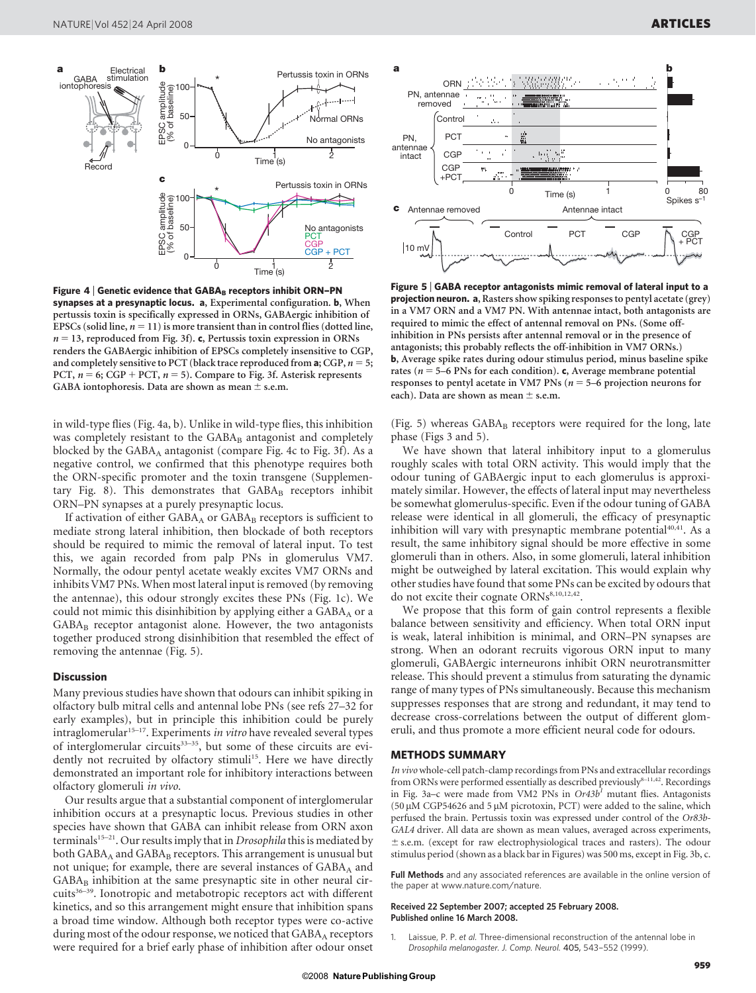

Figure 4 | Genetic evidence that  $GABA_B$  receptors inhibit ORN-PN synapses at a presynaptic locus. a, Experimental configuration. b, When pertussis toxin is specifically expressed in ORNs, GABAergic inhibition of EPSCs (solid line,  $n = 11$ ) is more transient than in control flies (dotted line,  $n = 13$ , reproduced from Fig. 3f). c, Pertussis toxin expression in ORNs renders the GABAergic inhibition of EPSCs completely insensitive to CGP, and completely sensitive to PCT (black trace reproduced from  $a$ ; CGP,  $n = 5$ ; PCT,  $n = 6$ ; CGP + PCT,  $n = 5$ ). Compare to Fig. 3f. Asterisk represents GABA iontophoresis. Data are shown as mean  $\pm$  s.e.m.

in wild-type flies (Fig. 4a, b). Unlike in wild-type flies, this inhibition was completely resistant to the GABAB antagonist and completely blocked by the GABA<sub>A</sub> antagonist (compare Fig. 4c to Fig. 3f). As a negative control, we confirmed that this phenotype requires both the ORN-specific promoter and the toxin transgene (Supplementary Fig. 8). This demonstrates that  $GABA_B$  receptors inhibit ORN–PN synapses at a purely presynaptic locus.

If activation of either  $GABA_A$  or  $GABA_B$  receptors is sufficient to mediate strong lateral inhibition, then blockade of both receptors should be required to mimic the removal of lateral input. To test this, we again recorded from palp PNs in glomerulus VM7. Normally, the odour pentyl acetate weakly excites VM7 ORNs and inhibits VM7 PNs. When most lateral input is removed (by removing the antennae), this odour strongly excites these PNs (Fig. 1c). We could not mimic this disinhibition by applying either a  $GABA_A$  or a  $GABA_B$  receptor antagonist alone. However, the two antagonists together produced strong disinhibition that resembled the effect of removing the antennae (Fig. 5).

#### **Discussion**

Many previous studies have shown that odours can inhibit spiking in olfactory bulb mitral cells and antennal lobe PNs (see refs 27–32 for early examples), but in principle this inhibition could be purely  $intraglomerular<sup>15-17</sup>$ . Experiments *in vitro* have revealed several types of interglomerular circuits<sup>33-35</sup>, but some of these circuits are evidently not recruited by olfactory stimuli<sup>15</sup>. Here we have directly demonstrated an important role for inhibitory interactions between olfactory glomeruli in vivo.

Our results argue that a substantial component of interglomerular inhibition occurs at a presynaptic locus. Previous studies in other species have shown that GABA can inhibit release from ORN axon terminals<sup>15-21</sup>. Our results imply that in *Drosophila* this is mediated by both  $GABA_A$  and  $GABA_B$  receptors. This arrangement is unusual but not unique; for example, there are several instances of GABA<sub>A</sub> and  $GABA_B$  inhibition at the same presynaptic site in other neural circuits $36-39$ . Ionotropic and metabotropic receptors act with different kinetics, and so this arrangement might ensure that inhibition spans a broad time window. Although both receptor types were co-active during most of the odour response, we noticed that GABAA receptors were required for a brief early phase of inhibition after odour onset



Figure 5 <sup>|</sup> GABA receptor antagonists mimic removal of lateral input to a projection neuron. a, Rasters show spiking responses to pentyl acetate (grey) in a VM7 ORN and a VM7 PN. With antennae intact, both antagonists are required to mimic the effect of antennal removal on PNs. (Some offinhibition in PNs persists after antennal removal or in the presence of antagonists; this probably reflects the off-inhibition in VM7 ORNs.) b, Average spike rates during odour stimulus period, minus baseline spike rates ( $n = 5-6$  PNs for each condition). c, Average membrane potential responses to pentyl acetate in VM7 PNs ( $n = 5$ –6 projection neurons for each). Data are shown as mean  $\pm$  s.e.m.

(Fig. 5) whereas GABA<sub>B</sub> receptors were required for the long, late phase (Figs 3 and 5).

We have shown that lateral inhibitory input to a glomerulus roughly scales with total ORN activity. This would imply that the odour tuning of GABAergic input to each glomerulus is approximately similar. However, the effects of lateral input may nevertheless be somewhat glomerulus-specific. Even if the odour tuning of GABA release were identical in all glomeruli, the efficacy of presynaptic inhibition will vary with presynaptic membrane potential $40,41$ . As a result, the same inhibitory signal should be more effective in some glomeruli than in others. Also, in some glomeruli, lateral inhibition might be outweighed by lateral excitation. This would explain why other studies have found that some PNs can be excited by odours that do not excite their cognate ORNs<sup>8,10,12,42</sup>.

We propose that this form of gain control represents a flexible balance between sensitivity and efficiency. When total ORN input is weak, lateral inhibition is minimal, and ORN–PN synapses are strong. When an odorant recruits vigorous ORN input to many glomeruli, GABAergic interneurons inhibit ORN neurotransmitter release. This should prevent a stimulus from saturating the dynamic range of many types of PNs simultaneously. Because this mechanism suppresses responses that are strong and redundant, it may tend to decrease cross-correlations between the output of different glomeruli, and thus promote a more efficient neural code for odours.

#### METHODS SUMMARY

In vivo whole-cell patch-clamp recordings from PNs and extracellular recordings from ORNs were performed essentially as described previously<sup>8-11,42</sup>. Recordings in Fig. 3a–c were made from VM2 PNs in  $Or43b<sup>1</sup>$  mutant flies. Antagonists (50  $\mu$ M CGP54626 and 5  $\mu$ M picrotoxin, PCT) were added to the saline, which perfused the brain. Pertussis toxin was expressed under control of the Or83b-GAL4 driver. All data are shown as mean values, averaged across experiments,  $±$  s.e.m. (except for raw electrophysiological traces and rasters). The odour stimulus period (shown as a black bar in Figures) was 500 ms, except in Fig. 3b, c.

Full Methods and any associated references are available in the online version of the paper at<www.nature.com/nature>.

#### Received 22 September 2007; accepted 25 February 2008. Published online 16 March 2008.

1. Laissue, P. P. et al. Three-dimensional reconstruction of the antennal lobe in Drosophila melanogaster. J. Comp. Neurol. 405, 543–552 (1999).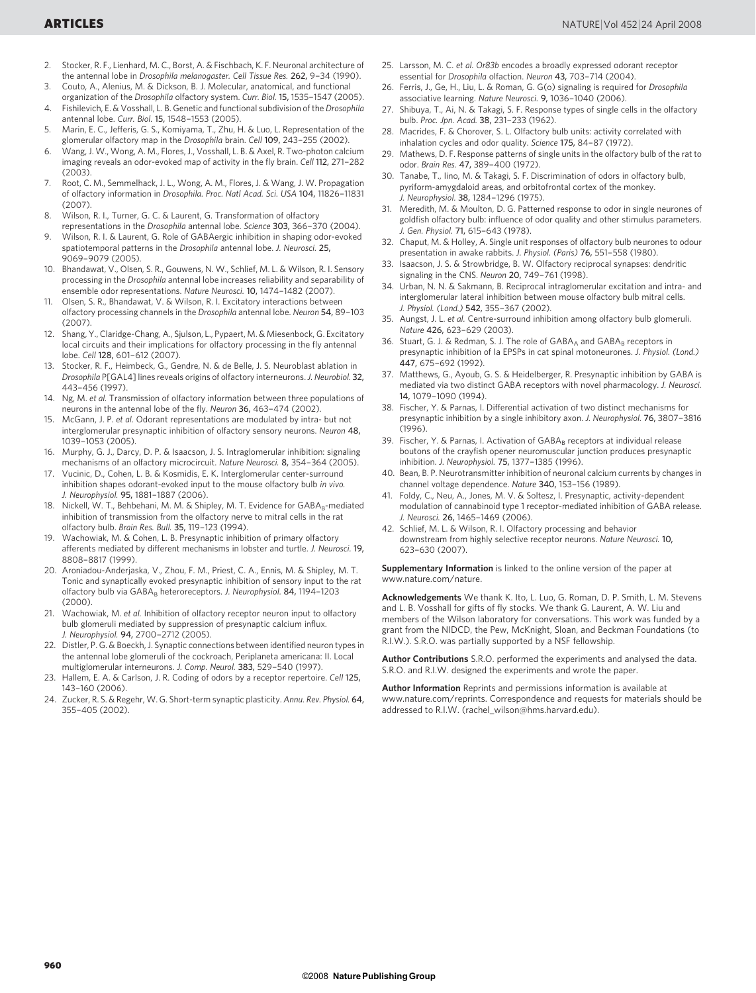- 2. Stocker, R. F., Lienhard, M. C., Borst, A. & Fischbach, K. F. Neuronal architecture of the antennal lobe in Drosophila melanogaster. Cell Tissue Res. 262, 9–34 (1990).
- 3. Couto, A., Alenius, M. & Dickson, B. J. Molecular, anatomical, and functional organization of the Drosophila olfactory system. Curr. Biol. 15, 1535–1547 (2005).
- 4. Fishilevich, E. & Vosshall, L. B. Genetic and functional subdivision of the Drosophila antennal lobe. Curr. Biol. 15, 1548–1553 (2005).
- 5. Marin, E. C., Jefferis, G. S., Komiyama, T., Zhu, H. & Luo, L. Representation of the glomerular olfactory map in the Drosophila brain. Cell 109, 243-255 (2002).
- 6. Wang, J. W., Wong, A. M., Flores, J., Vosshall, L. B. & Axel, R. Two-photon calcium imaging reveals an odor-evoked map of activity in the fly brain. Cell 112, 271–282 (2003).
- 7. Root, C. M., Semmelhack, J. L., Wong, A. M., Flores, J. & Wang, J. W. Propagation of olfactory information in Drosophila. Proc. Natl Acad. Sci. USA 104, 11826–11831  $(2007)$
- 8. Wilson, R. I., Turner, G. C. & Laurent, G. Transformation of olfactory
- representations in the Drosophila antennal lobe. Science 303, 366–370 (2004). 9. Wilson, R. I. & Laurent, G. Role of GABAergic inhibition in shaping odor-evoked spatiotemporal patterns in the Drosophila antennal lobe. J. Neurosci. 25, 9069–9079 (2005).
- 10. Bhandawat, V., Olsen, S. R., Gouwens, N. W., Schlief, M. L. & Wilson, R. I. Sensory processing in the Drosophila antennal lobe increases reliability and separability of ensemble odor representations. Nature Neurosci. 10, 1474-1482 (2007).
- 11. Olsen, S. R., Bhandawat, V. & Wilson, R. I. Excitatory interactions between olfactory processing channels in the Drosophila antennal lobe. Neuron 54, 89–103  $(2007)$
- 12. Shang, Y., Claridge-Chang, A., Sjulson, L., Pypaert, M. & Miesenbock, G. Excitatory local circuits and their implications for olfactory processing in the fly antennal lobe. Cell 128, 601–612 (2007).
- 13. Stocker, R. F., Heimbeck, G., Gendre, N. & de Belle, J. S. Neuroblast ablation in Drosophila P[GAL4] lines reveals origins of olfactory interneurons.J. Neurobiol. 32, 443–456 (1997).
- 14. Ng, M. et al. Transmission of olfactory information between three populations of neurons in the antennal lobe of the fly. Neuron 36, 463–474 (2002).
- 15. McGann, J. P. et al. Odorant representations are modulated by intra- but not interglomerular presynaptic inhibition of olfactory sensory neurons. Neuron 48, 1039–1053 (2005).
- 16. Murphy, G. J., Darcy, D. P. & Isaacson, J. S. Intraglomerular inhibition: signaling mechanisms of an olfactory microcircuit. Nature Neurosci. 8, 354–364 (2005).
- 17. Vucinic, D., Cohen, L. B. & Kosmidis, E. K. Interglomerular center-surround inhibition shapes odorant-evoked input to the mouse olfactory bulb in vivo. J. Neurophysiol. 95, 1881–1887 (2006).
- 18. Nickell, W. T., Behbehani, M. M. & Shipley, M. T. Evidence for GABAB-mediated inhibition of transmission from the olfactory nerve to mitral cells in the rat olfactory bulb. Brain Res. Bull. 35, 119–123 (1994).
- 19. Wachowiak, M. & Cohen, L. B. Presynaptic inhibition of primary olfactory afferents mediated by different mechanisms in lobster and turtle. J. Neurosci. 19, 8808–8817 (1999).
- 20. Aroniadou-Anderjaska, V., Zhou, F. M., Priest, C. A., Ennis, M. & Shipley, M. T. Tonic and synaptically evoked presynaptic inhibition of sensory input to the rat olfactory bulb via GABA<sub>B</sub> heteroreceptors. J. Neurophysiol. 84, 1194-1203 (2000).
- 21. Wachowiak, M. et al. Inhibition of olfactory receptor neuron input to olfactory bulb glomeruli mediated by suppression of presynaptic calcium influx. J. Neurophysiol. 94, 2700–2712 (2005).
- 22. Distler, P. G. & Boeckh, J. Synaptic connections between identified neuron types in the antennal lobe glomeruli of the cockroach, Periplaneta americana: II. Local multiglomerular interneurons. J. Comp. Neurol. 383, 529–540 (1997).
- 23. Hallem, E. A. & Carlson, J. R. Coding of odors by a receptor repertoire. Cell 125, 143–160 (2006).
- 24. Zucker, R. S. & Regehr, W. G. Short-term synaptic plasticity. Annu. Rev. Physiol. 64, 355–405 (2002).
- 25. Larsson, M. C. et al. Or83b encodes a broadly expressed odorant receptor essential for Drosophila olfaction. Neuron 43, 703–714 (2004).
- 26. Ferris, J., Ge, H., Liu, L. & Roman, G. G(o) signaling is required for Drosophila associative learning. Nature Neurosci. 9, 1036–1040 (2006).
- 27. Shibuya, T., Ai, N. & Takagi, S. F. Response types of single cells in the olfactory bulb. Proc. Jpn. Acad. 38, 231–233 (1962).
- 28. Macrides, F. & Chorover, S. L. Olfactory bulb units: activity correlated with inhalation cycles and odor quality. Science 175, 84–87 (1972).
- 29. Mathews, D. F. Response patterns of single units in the olfactory bulb of the rat to odor. Brain Res. 47, 389–400 (1972).
- 30. Tanabe, T., Iino, M. & Takagi, S. F. Discrimination of odors in olfactory bulb, pyriform-amygdaloid areas, and orbitofrontal cortex of the monkey. J. Neurophysiol. 38, 1284–1296 (1975).
- 31. Meredith, M. & Moulton, D. G. Patterned response to odor in single neurones of goldfish olfactory bulb: influence of odor quality and other stimulus parameters. J. Gen. Physiol. 71, 615–643 (1978).
- 32. Chaput, M. & Holley, A. Single unit responses of olfactory bulb neurones to odour presentation in awake rabbits. J. Physiol. (Paris) 76, 551–558 (1980).
- 33. Isaacson, J. S. & Strowbridge, B. W. Olfactory reciprocal synapses: dendritic signaling in the CNS. Neuron 20, 749–761 (1998).
- 34. Urban, N. N. & Sakmann, B. Reciprocal intraglomerular excitation and intra- and interglomerular lateral inhibition between mouse olfactory bulb mitral cells. J. Physiol. (Lond.) 542, 355–367 (2002).
- 35. Aungst, J. L. et al. Centre-surround inhibition among olfactory bulb glomeruli. Nature 426, 623–629 (2003).
- 36. Stuart, G. J. & Redman, S. J. The role of GABAA and GABAB receptors in presynaptic inhibition of Ia EPSPs in cat spinal motoneurones. J. Physiol. (Lond.) 447, 675–692 (1992).
- 37. Matthews, G., Ayoub, G. S. & Heidelberger, R. Presynaptic inhibition by GABA is mediated via two distinct GABA receptors with novel pharmacology. J. Neurosci. 14, 1079–1090 (1994).
- 38. Fischer, Y. & Parnas, I. Differential activation of two distinct mechanisms for presynaptic inhibition by a single inhibitory axon. J. Neurophysiol. 76, 3807–3816  $(1996)$
- 39. Fischer, Y. & Parnas, I. Activation of GABAB receptors at individual release boutons of the crayfish opener neuromuscular junction produces presynaptic inhibition. J. Neurophysiol. 75, 1377–1385 (1996).
- 40. Bean, B. P. Neurotransmitter inhibition of neuronal calcium currents by changes in channel voltage dependence. Nature 340, 153–156 (1989).
- 41. Foldy, C., Neu, A., Jones, M. V. & Soltesz, I. Presynaptic, activity-dependent modulation of cannabinoid type 1 receptor-mediated inhibition of GABA release. J. Neurosci. 26, 1465–1469 (2006).
- 42. Schlief, M. L. & Wilson, R. I. Olfactory processing and behavior downstream from highly selective receptor neurons. Nature Neurosci. 10, 623–630 (2007).

Supplementary Information is linked to the online version of the paper at <www.nature.com/nature>.

Acknowledgements We thank K. Ito, L. Luo, G. Roman, D. P. Smith, L. M. Stevens and L. B. Vosshall for gifts of fly stocks. We thank G. Laurent, A. W. Liu and members of the Wilson laboratory for conversations. This work was funded by a grant from the NIDCD, the Pew, McKnight, Sloan, and Beckman Foundations (to R.I.W.). S.R.O. was partially supported by a NSF fellowship.

Author Contributions S.R.O. performed the experiments and analysed the data. S.R.O. and R.I.W. designed the experiments and wrote the paper.

Author Information Reprints and permissions information is available at <www.nature.com/reprints>. Correspondence and requests for materials should be addressed to R.I.W. [\(rachel\\_wilson@hms.harvard.edu\).](mailto:rachel_wilson@hms.harvard.edu)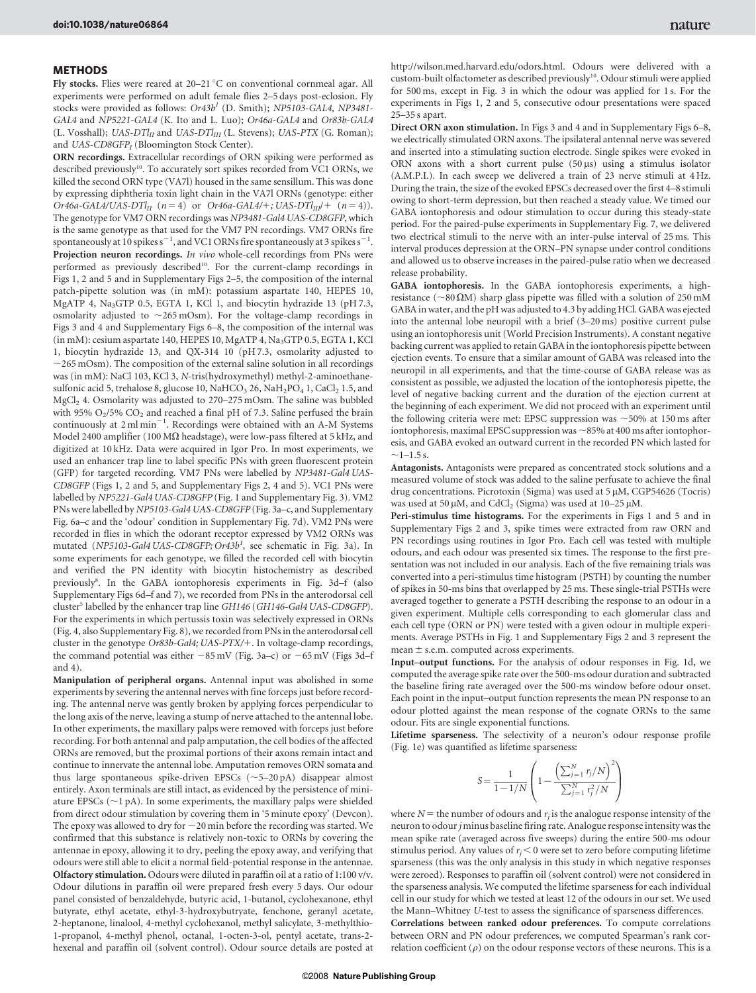#### **METHODS**

Fly stocks. Flies were reared at 20–21 °C on conventional cornmeal agar. All experiments were performed on adult female flies 2–5 days post-eclosion. Fly stocks were provided as follows:  $Or43b<sup>1</sup>$  (D. Smith); NP5103-GAL4, NP3481-GAL4 and NP5221-GAL4 (K. Ito and L. Luo); Or46a-GAL4 and Or83b-GAL4 (L. Vosshall); UAS-DTl<sub>II</sub> and UAS-DTl<sub>III</sub> (L. Stevens); UAS-PTX (G. Roman); and  $UAS-CDSGFP<sub>I</sub>$  (Bloomington Stock Center).

ORN recordings. Extracellular recordings of ORN spiking were performed as described previously<sup>10</sup>. To accurately sort spikes recorded from VC1 ORNs, we killed the second ORN type (VA7l) housed in the same sensillum. This was done by expressing diphtheria toxin light chain in the VA7l ORNs (genotype: either Or46a-GAL4/UAS-DTl<sub>II</sub>  $(n = 4)$  or Or46a-GAL4/+; UAS-DTl<sub>III</sub>/+  $(n = 4)$ ). The genotype for VM7 ORN recordings was NP3481-Gal4 UAS-CD8GFP, which is the same genotype as that used for the VM7 PN recordings. VM7 ORNs fire spontaneously at 10 spikes s $^{-1}$ , and VC1 ORNs fire spontaneously at 3 spikes s $^{-1}$ . Projection neuron recordings. In vivo whole-cell recordings from PNs were performed as previously described<sup>10</sup>. For the current-clamp recordings in Figs 1, 2 and 5 and in Supplementary Figs 2–5, the composition of the internal patch-pipette solution was (in mM): potassium aspartate 140, HEPES 10, MgATP 4, Na<sub>3</sub>GTP 0.5, EGTA 1, KCl 1, and biocytin hydrazide 13 (pH 7.3, osmolarity adjusted to  $\sim$  265 mOsm). For the voltage-clamp recordings in Figs 3 and 4 and Supplementary Figs 6–8, the composition of the internal was (in mM): cesium aspartate 140, HEPES 10, MgATP 4, Na<sub>3</sub>GTP 0.5, EGTA 1, KCl 1, biocytin hydrazide 13, and QX-314 10 (pH 7.3, osmolarity adjusted to  $\sim$ 265 mOsm). The composition of the external saline solution in all recordings was (in mM): NaCl 103, KCl 3, N-tris(hydroxymethyl) methyl-2-aminoethanesulfonic acid 5, trehalose 8, glucose 10, NaHCO<sub>3</sub> 26, NaH<sub>2</sub>PO<sub>4</sub> 1, CaCl<sub>2</sub> 1.5, and MgCl<sub>2</sub> 4. Osmolarity was adjusted to 270–275 mOsm. The saline was bubbled with 95%  $O_2/5$ %  $CO_2$  and reached a final pH of 7.3. Saline perfused the brain continuously at 2 ml min<sup>-1</sup>. Recordings were obtained with an A-M Systems Model 2400 amplifier (100 M $\Omega$  headstage), were low-pass filtered at 5 kHz, and digitized at 10 kHz. Data were acquired in Igor Pro. In most experiments, we used an enhancer trap line to label specific PNs with green fluorescent protein (GFP) for targeted recording. VM7 PNs were labelled by NP3481-Gal4 UAS-CD8GFP (Figs 1, 2 and 5, and Supplementary Figs 2, 4 and 5). VC1 PNs were labelled by NP5221-Gal4 UAS-CD8GFP (Fig. 1 and Supplementary Fig. 3). VM2 PNs were labelled by NP5103-Gal4 UAS-CD8GFP (Fig. 3a–c, and Supplementary Fig. 6a–c and the 'odour' condition in Supplementary Fig. 7d). VM2 PNs were recorded in flies in which the odorant receptor expressed by VM2 ORNs was mutated (NP5103-Gal4 UAS-CD8GFP; Or43b<sup>1</sup>, see schematic in Fig. 3a). In some experiments for each genotype, we filled the recorded cell with biocytin and verified the PN identity with biocytin histochemistry as described previously<sup>8</sup>. In the GABA iontophoresis experiments in Fig. 3d-f (also Supplementary Figs 6d–f and 7), we recorded from PNs in the anterodorsal cell cluster<sup>5</sup> labelled by the enhancer trap line GH146 (GH146-Gal4 UAS-CD8GFP). For the experiments in which pertussis toxin was selectively expressed in ORNs (Fig. 4, also Supplementary Fig. 8), we recorded from PNs in the anterodorsal cell cluster in the genotype Or83b-Gal4; UAS-PTX/+. In voltage-clamp recordings, the command potential was either  $-85$  mV (Fig. 3a–c) or  $-65$  mV (Figs 3d–f and 4).

Manipulation of peripheral organs. Antennal input was abolished in some experiments by severing the antennal nerves with fine forceps just before recording. The antennal nerve was gently broken by applying forces perpendicular to the long axis of the nerve, leaving a stump of nerve attached to the antennal lobe. In other experiments, the maxillary palps were removed with forceps just before recording. For both antennal and palp amputation, the cell bodies of the affected ORNs are removed, but the proximal portions of their axons remain intact and continue to innervate the antennal lobe. Amputation removes ORN somata and thus large spontaneous spike-driven EPSCs  $(\sim 5-20 \text{ pA})$  disappear almost entirely. Axon terminals are still intact, as evidenced by the persistence of miniature EPSCs  $(\sim]$  pA). In some experiments, the maxillary palps were shielded from direct odour stimulation by covering them in '5 minute epoxy' (Devcon). The epoxy was allowed to dry for  $\sim$  20 min before the recording was started. We confirmed that this substance is relatively non-toxic to ORNs by covering the antennae in epoxy, allowing it to dry, peeling the epoxy away, and verifying that odours were still able to elicit a normal field-potential response in the antennae. Olfactory stimulation. Odours were diluted in paraffin oil at a ratio of 1:100 v/v. Odour dilutions in paraffin oil were prepared fresh every 5 days. Our odour panel consisted of benzaldehyde, butyric acid, 1-butanol, cyclohexanone, ethyl butyrate, ethyl acetate, ethyl-3-hydroxybutryate, fenchone, geranyl acetate, 2-heptanone, linalool, 4-methyl cyclohexanol, methyl salicylate, 3-methylthio-1-propanol, 4-methyl phenol, octanal, 1-octen-3-ol, pentyl acetate, trans-2 hexenal and paraffin oil (solvent control). Odour source details are posted at

<http://wilson.med.harvard.edu/odors.html>. Odours were delivered with a custom-built olfactometer as described previously<sup>10</sup>. Odour stimuli were applied for 500 ms, except in Fig. 3 in which the odour was applied for 1 s. For the experiments in Figs 1, 2 and 5, consecutive odour presentations were spaced 25–35 s apart.

Direct ORN axon stimulation. In Figs 3 and 4 and in Supplementary Figs 6–8, we electrically stimulated ORN axons. The ipsilateral antennal nerve was severed and inserted into a stimulating suction electrode. Single spikes were evoked in ORN axons with a short current pulse  $(50 \,\mu s)$  using a stimulus isolator (A.M.P.I.). In each sweep we delivered a train of 23 nerve stimuli at 4 Hz. During the train, the size of the evoked EPSCs decreased over the first 4–8 stimuli owing to short-term depression, but then reached a steady value. We timed our GABA iontophoresis and odour stimulation to occur during this steady-state period. For the paired-pulse experiments in Supplementary Fig. 7, we delivered two electrical stimuli to the nerve with an inter-pulse interval of 25 ms. This interval produces depression at the ORN–PN synapse under control conditions and allowed us to observe increases in the paired-pulse ratio when we decreased release probability.

GABA iontophoresis. In the GABA iontophoresis experiments, a highresistance ( $\sim$ 80  $\Omega$ M) sharp glass pipette was filled with a solution of 250 mM GABA in water, and the pH was adjusted to 4.3 by adding HCl. GABA was ejected into the antennal lobe neuropil with a brief (3–20 ms) positive current pulse using an iontophoresis unit (World Precision Instruments). A constant negative backing current was applied to retain GABA in the iontophoresis pipette between ejection events. To ensure that a similar amount of GABA was released into the neuropil in all experiments, and that the time-course of GABA release was as consistent as possible, we adjusted the location of the iontophoresis pipette, the level of negative backing current and the duration of the ejection current at the beginning of each experiment. We did not proceed with an experiment until the following criteria were met: EPSC suppression was  $\sim$  50% at 150 ms after iontophoresis, maximal EPSC suppression was  $\sim$ 85% at 400 ms after iontophoresis, and GABA evoked an outward current in the recorded PN which lasted for  $\sim$ 1–1.5 s.

Antagonists. Antagonists were prepared as concentrated stock solutions and a measured volume of stock was added to the saline perfusate to achieve the final drug concentrations. Picrotoxin (Sigma) was used at 5 µM, CGP54626 (Tocris) was used at 50  $\mu$ M, and CdCl<sub>2</sub> (Sigma) was used at 10–25  $\mu$ M.

Peri-stimulus time histograms. For the experiments in Figs 1 and 5 and in Supplementary Figs 2 and 3, spike times were extracted from raw ORN and PN recordings using routines in Igor Pro. Each cell was tested with multiple odours, and each odour was presented six times. The response to the first presentation was not included in our analysis. Each of the five remaining trials was converted into a peri-stimulus time histogram (PSTH) by counting the number of spikes in 50-ms bins that overlapped by 25 ms. These single-trial PSTHs were averaged together to generate a PSTH describing the response to an odour in a given experiment. Multiple cells corresponding to each glomerular class and each cell type (ORN or PN) were tested with a given odour in multiple experiments. Average PSTHs in Fig. 1 and Supplementary Figs 2 and 3 represent the mean  $\pm$  s.e.m. computed across experiments.

Input–output functions. For the analysis of odour responses in Fig. 1d, we computed the average spike rate over the 500-ms odour duration and subtracted the baseline firing rate averaged over the 500-ms window before odour onset. Each point in the input–output function represents the mean PN response to an odour plotted against the mean response of the cognate ORNs to the same odour. Fits are single exponential functions.

Lifetime sparseness. The selectivity of a neuron's odour response profile (Fig. 1e) was quantified as lifetime sparseness:

$$
S\!=\!\frac{1}{1\!-\!1/N}\left(1\!-\!\frac{\left(\sum_{j=1}^N\tau_j/N\right)^2}{\sum_{j=1}^N\tau_j^2/N}\right)
$$

where  $N =$  the number of odours and  $r<sub>i</sub>$  is the analogue response intensity of the neuron to odour j minus baseline firing rate. Analogue response intensity was the mean spike rate (averaged across five sweeps) during the entire 500-ms odour stimulus period. Any values of  $r<sub>i</sub> < 0$  were set to zero before computing lifetime sparseness (this was the only analysis in this study in which negative responses were zeroed). Responses to paraffin oil (solvent control) were not considered in the sparseness analysis. We computed the lifetime sparseness for each individual cell in our study for which we tested at least 12 of the odours in our set. We used the Mann–Whitney U-test to assess the significance of sparseness differences.

Correlations between ranked odour preferences. To compute correlations between ORN and PN odour preferences, we computed Spearman's rank correlation coefficient  $(\rho)$  on the odour response vectors of these neurons. This is a